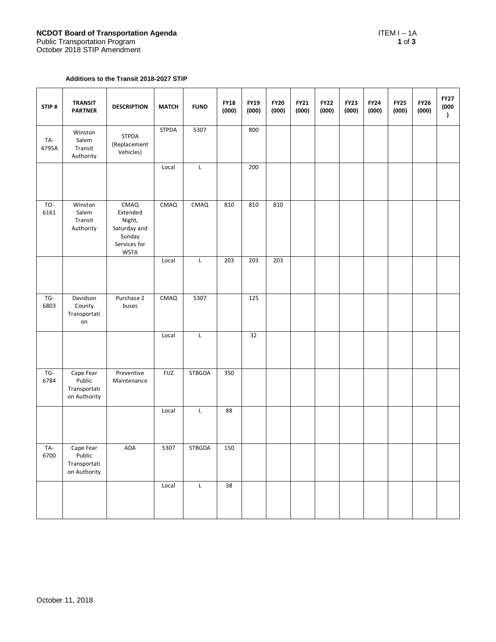## **Additions to the Transit 2018-2027 STIP**

| STIP#        | <b>TRANSIT</b><br><b>PARTNER</b>                    | <b>DESCRIPTION</b>                                                                  | <b>MATCH</b> | <b>FUND</b>   | <b>FY18</b><br>(000) | <b>FY19</b><br>(000) | <b>FY20</b><br>(000) | <b>FY21</b><br>(000) | <b>FY22</b><br>(000) | <b>FY23</b><br>(000) | <b>FY24</b><br>(000) | <b>FY25</b><br>(000) | <b>FY26</b><br>(000) | <b>FY27</b><br>(000<br>$\mathcal{L}$ |
|--------------|-----------------------------------------------------|-------------------------------------------------------------------------------------|--------------|---------------|----------------------|----------------------|----------------------|----------------------|----------------------|----------------------|----------------------|----------------------|----------------------|--------------------------------------|
| TA-<br>4795A | Winston<br>Salem<br>Transit<br>Authority            | <b>STPDA</b><br>(Replacement<br>Vehicles)                                           | <b>STPDA</b> | 5307          |                      | 800                  |                      |                      |                      |                      |                      |                      |                      |                                      |
|              |                                                     |                                                                                     | Local        | L             |                      | 200                  |                      |                      |                      |                      |                      |                      |                      |                                      |
| TO-<br>6161  | Winston<br>Salem<br>Transit<br>Authority            | CMAQ<br>Extended<br>Night,<br>Saturday and<br>Sunday<br>Services for<br><b>WSTA</b> | CMAQ         | <b>CMAQ</b>   | 810                  | 810                  | 810                  |                      |                      |                      |                      |                      |                      |                                      |
|              |                                                     |                                                                                     | Local        | L             | 203                  | 203                  | 203                  |                      |                      |                      |                      |                      |                      |                                      |
| TG-<br>6803  | Davidson<br>County<br>Transportati<br>on            | Purchase 2<br>buses                                                                 | CMAQ         | 5307          |                      | $\overline{125}$     |                      |                      |                      |                      |                      |                      |                      |                                      |
|              |                                                     |                                                                                     | Local        | Г             |                      | 32                   |                      |                      |                      |                      |                      |                      |                      |                                      |
| TG-<br>6784  | Cape Fear<br>Public<br>Transportati<br>on Authority | Preventive<br>Maintenance                                                           | <b>FUZ</b>   | <b>STBGDA</b> | 350                  |                      |                      |                      |                      |                      |                      |                      |                      |                                      |
|              |                                                     |                                                                                     | Local        | L             | 88                   |                      |                      |                      |                      |                      |                      |                      |                      |                                      |
| TA-<br>6700  | Cape Fear<br>Public<br>Transportati<br>on Authority | ADA                                                                                 | 5307         | <b>STBGDA</b> | 150                  |                      |                      |                      |                      |                      |                      |                      |                      |                                      |
|              |                                                     |                                                                                     | Local        | L             | 38                   |                      |                      |                      |                      |                      |                      |                      |                      |                                      |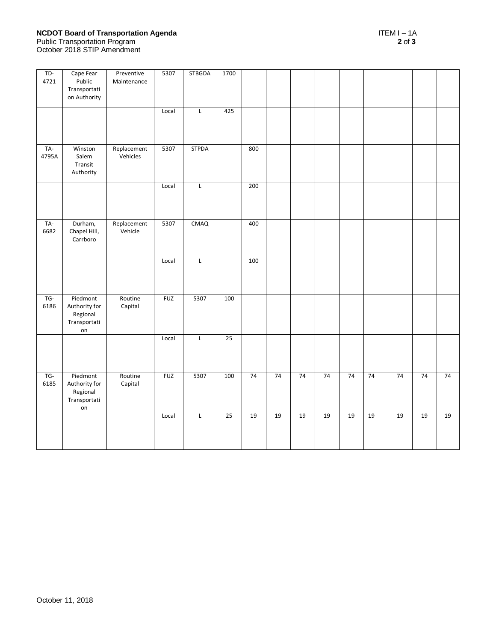## **NCDOT Board of Transportation Agenda** ITEM I – 1A Public Transportation Program **2** of **3** October 2018 STIP Amendment

| $TD-$<br>4721  | Cape Fear<br>Public<br>Transportati<br>on Authority         | Preventive<br>Maintenance | 5307       | STBGDA       | 1700 |     |    |    |    |    |    |    |    |    |
|----------------|-------------------------------------------------------------|---------------------------|------------|--------------|------|-----|----|----|----|----|----|----|----|----|
|                |                                                             |                           | Local      | $\mathsf L$  | 425  |     |    |    |    |    |    |    |    |    |
| TA-<br>4795A   | Winston<br>Salem<br>Transit<br>Authority                    | Replacement<br>Vehicles   | 5307       | <b>STPDA</b> |      | 800 |    |    |    |    |    |    |    |    |
|                |                                                             |                           | Local      | $\mathsf L$  |      | 200 |    |    |    |    |    |    |    |    |
| TA-<br>6682    | Durham,<br>Chapel Hill,<br>Carrboro                         | Replacement<br>Vehicle    | 5307       | CMAQ         |      | 400 |    |    |    |    |    |    |    |    |
|                |                                                             |                           | Local      | $\mathsf{L}$ |      | 100 |    |    |    |    |    |    |    |    |
| $TG -$<br>6186 | Piedmont<br>Authority for<br>Regional<br>Transportati<br>on | Routine<br>Capital        | <b>FUZ</b> | 5307         | 100  |     |    |    |    |    |    |    |    |    |
|                |                                                             |                           | Local      | L            | 25   |     |    |    |    |    |    |    |    |    |
| TG-<br>6185    | Piedmont<br>Authority for<br>Regional<br>Transportati<br>on | Routine<br>Capital        | <b>FUZ</b> | 5307         | 100  | 74  | 74 | 74 | 74 | 74 | 74 | 74 | 74 | 74 |
|                |                                                             |                           | Local      | $\mathsf L$  | 25   | 19  | 19 | 19 | 19 | 19 | 19 | 19 | 19 | 19 |